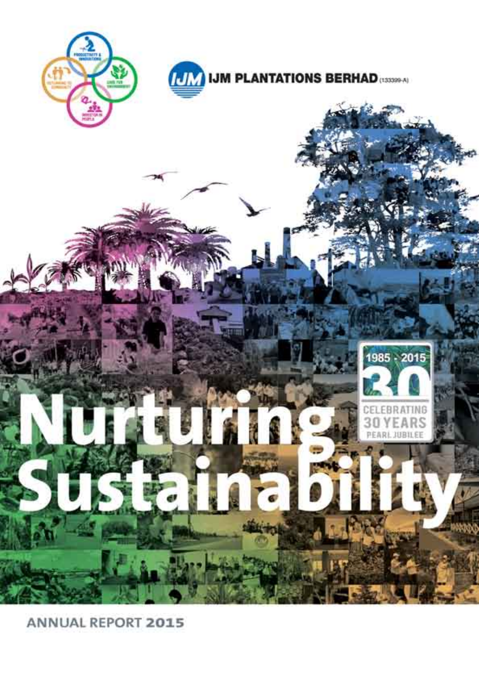

**ANNUAL REPORT 2015**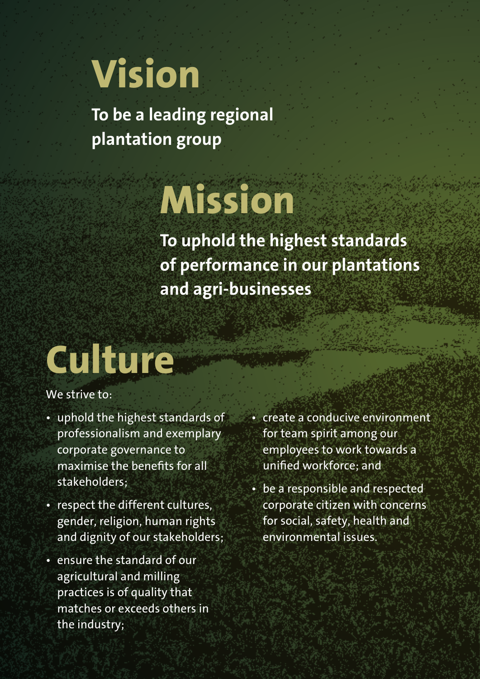# **Vision**

**To be a leading regional plantation group**

## **Mission**

**To uphold the highest standards of performance in our plantations and agri-businesses**

## **Culture**

#### We strive to:

- uphold the highest standards of professionalism and exemplary corporate governance to maximise the benefits for all stakeholders;
- respect the different cultures, gender, religion, human rights and dignity of our stakeholders;
- ensure the standard of our agricultural and milling practices is of quality that matches or exceeds others in the industry;

• create a conducive environment for team spirit among our employees to work towards a unified workforce; and

• be a responsible and respected corporate citizen with concerns for social, safety, health and environmental issues.